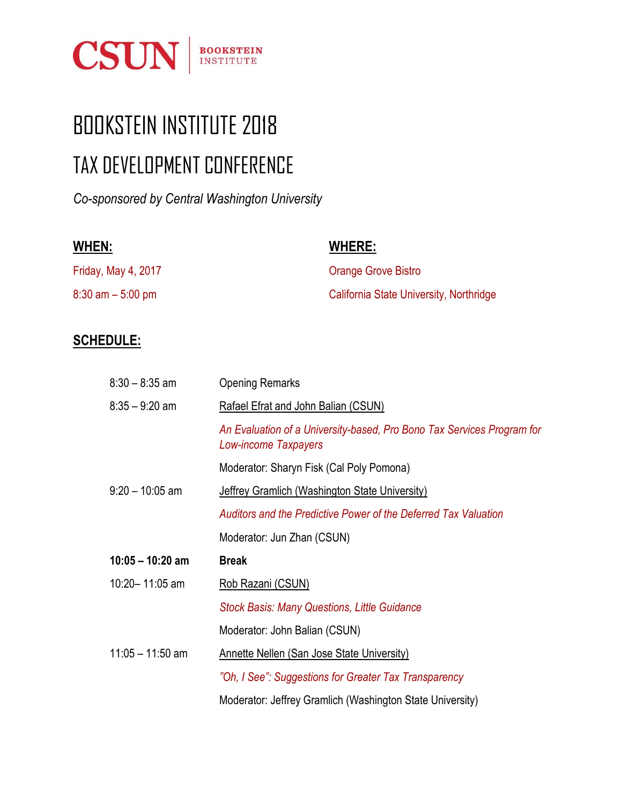

## BOOKSTEIN INSTITUTE 2018 TAX DEVELOPMENT CONFERENCE

*Co-sponsored by Central Washington University*

| WHEN:                | <b>WHERE:</b>                           |
|----------------------|-----------------------------------------|
| Friday, May 4, 2017  | <b>Orange Grove Bistro</b>              |
| $8:30$ am $-5:00$ pm | California State University, Northridge |

## **SCHEDULE:**

| $8:30 - 8:35$ am   | <b>Opening Remarks</b>                                                                         |
|--------------------|------------------------------------------------------------------------------------------------|
| $8:35 - 9:20$ am   | Rafael Efrat and John Balian (CSUN)                                                            |
|                    | An Evaluation of a University-based, Pro Bono Tax Services Program for<br>Low-income Taxpayers |
|                    | Moderator: Sharyn Fisk (Cal Poly Pomona)                                                       |
| $9:20 - 10:05$ am  | <b>Jeffrey Gramlich (Washington State University)</b>                                          |
|                    | Auditors and the Predictive Power of the Deferred Tax Valuation                                |
|                    | Moderator: Jun Zhan (CSUN)                                                                     |
| $10:05 - 10:20$ am | <b>Break</b>                                                                                   |
| 10:20-11:05 am     | Rob Razani (CSUN)                                                                              |
|                    | <b>Stock Basis: Many Questions, Little Guidance</b>                                            |
|                    | Moderator: John Balian (CSUN)                                                                  |
| $11:05 - 11:50$ am | <b>Annette Nellen (San Jose State University)</b>                                              |
|                    | "Oh, I See": Suggestions for Greater Tax Transparency                                          |
|                    | Moderator: Jeffrey Gramlich (Washington State University)                                      |